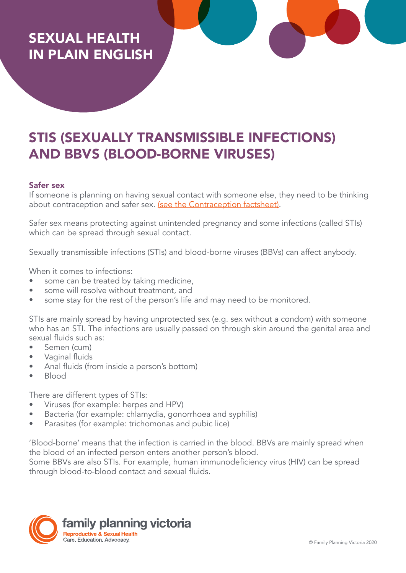# SEXUAL HEALTH IN PLAIN ENGLISH

# STIS (SEXUALLY TRANSMISSIBLE INFECTIONS) AND BBVS (BLOOD-BORNE VIRUSES)

#### Safer sex

If someone is planning on having sexual contact with someone else, they need to be thinking about contraception and safer sex. [\(see the Contraception factsheet\)](https://www.fpv.org.au/assets/resources/FPV_PlainEnglishResources_FA_Contraception.pdf).

Safer sex means protecting against unintended pregnancy and some infections (called STIs) which can be spread through sexual contact.

Sexually transmissible infections (STIs) and blood-borne viruses (BBVs) can affect anybody.

When it comes to infections:

- some can be treated by taking medicine,
- some will resolve without treatment, and
- some stay for the rest of the person's life and may need to be monitored.

STIs are mainly spread by having unprotected sex (e.g. sex without a condom) with someone who has an STI. The infections are usually passed on through skin around the genital area and sexual fluids such as:

- Semen (cum)
- Vaginal fluids
- Anal fluids (from inside a person's bottom)
- Blood

There are different types of STIs:

- Viruses (for example: herpes and HPV)
- Bacteria (for example: chlamydia, gonorrhoea and syphilis)
- Parasites (for example: trichomonas and pubic lice)

'Blood-borne' means that the infection is carried in the blood. BBVs are mainly spread when the blood of an infected person enters another person's blood.

Some BBVs are also STIs. For example, human immunodeficiency virus (HIV) can be spread through blood-to-blood contact and sexual fluids.

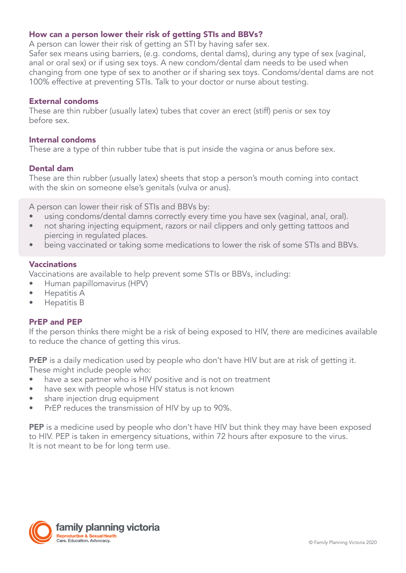# How can a person lower their risk of getting STIs and BBVs?

A person can lower their risk of getting an STI by having safer sex.

Safer sex means using barriers, (e.g. condoms, dental dams), during any type of sex (vaginal, anal or oral sex) or if using sex toys. A new condom/dental dam needs to be used when changing from one type of sex to another or if sharing sex toys. Condoms/dental dams are not 100% effective at preventing STIs. Talk to your doctor or nurse about testing.

## External condoms

These are thin rubber (usually latex) tubes that cover an erect (stiff) penis or sex toy before sex.

## Internal condoms

These are a type of thin rubber tube that is put inside the vagina or anus before sex.

# Dental dam

These are thin rubber (usually latex) sheets that stop a person's mouth coming into contact with the skin on someone else's genitals (vulva or anus).

A person can lower their risk of STIs and BBVs by:

- using condoms/dental damns correctly every time you have sex (vaginal, anal, oral).
- not sharing injecting equipment, razors or nail clippers and only getting tattoos and piercing in regulated places.
- being vaccinated or taking some medications to lower the risk of some STIs and BBVs.

### Vaccinations

Vaccinations are available to help prevent some STIs or BBVs, including:

- Human papillomavirus (HPV)
- Hepatitis A
- Hepatitis B

### PrEP and PEP

If the person thinks there might be a risk of being exposed to HIV, there are medicines available to reduce the chance of getting this virus.

**PrEP** is a daily medication used by people who don't have HIV but are at risk of getting it. These might include people who:

- have a sex partner who is HIV positive and is not on treatment
- have sex with people whose HIV status is not known
- share injection drug equipment
- PrEP reduces the transmission of HIV by up to 90%.

PEP is a medicine used by people who don't have HIV but think they may have been exposed to HIV. PEP is taken in emergency situations, within 72 hours after exposure to the virus. It is not meant to be for long term use.